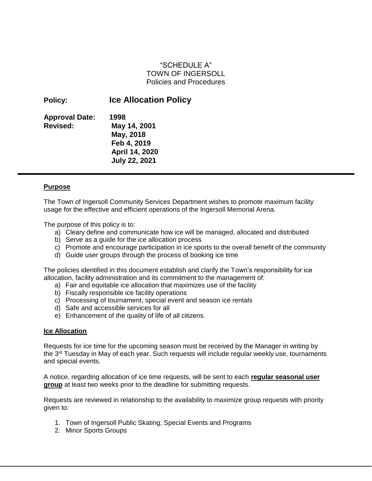# "SCHEDULE A" TOWN OF INGERSOLL Policies and Procedures

| <b>Ice Allocation Policy</b> |
|------------------------------|
| 1998                         |
| May 14, 2001                 |
| May, 2018                    |
| Feb 4, 2019                  |
| April 14, 2020               |
| <b>July 22, 2021</b>         |
|                              |

#### **Purpose**

The Town of Ingersoll Community Services Department wishes to promote maximum facility usage for the effective and efficient operations of the Ingersoll Memorial Arena.

The purpose of this policy is to:

- a) Cleary define and communicate how ice will be managed, allocated and distributed
- b) Serve as a guide for the ice allocation process
- c) Promote and encourage participation in ice sports to the overall benefit of the community
- d) Guide user groups through the process of booking ice time

The policies identified in this document establish and clarify the Town's responsibility for ice allocation, facility administration and its commitment to the management of:

- a) Fair and equitable ice allocation that maximizes use of the facility
- b) Fiscally responsible ice facility operations
- c) Processing of tournament, special event and season ice rentals
- d) Safe and accessible services for all
- e) Enhancement of the quality of life of all citizens.

#### **Ice Allocation**

Requests for ice time for the upcoming season must be received by the Manager in writing by the  $3<sup>rd</sup>$  Tuesday in May of each year. Such requests will include regular weekly use, tournaments and special events.

A notice, regarding allocation of ice time requests, will be sent to each **regular seasonal user group** at least two weeks prior to the deadline for submitting requests.

Requests are reviewed in relationship to the availability to maximize group requests with priority given to:

- 1. Town of Ingersoll Public Skating, Special Events and Programs
- 2. Minor Sports Groups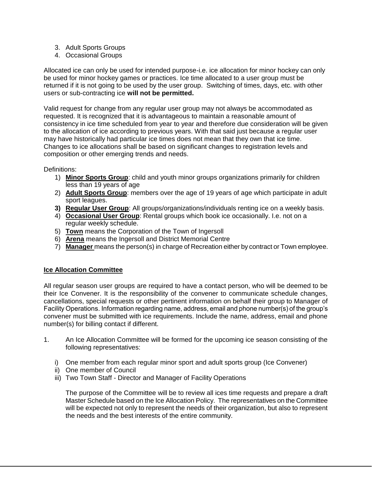- 3. Adult Sports Groups
- 4. Occasional Groups

Allocated ice can only be used for intended purpose-i.e. ice allocation for minor hockey can only be used for minor hockey games or practices. Ice time allocated to a user group must be returned if it is not going to be used by the user group. Switching of times, days, etc. with other users or sub-contracting ice **will not be permitted.** 

Valid request for change from any regular user group may not always be accommodated as requested. It is recognized that it is advantageous to maintain a reasonable amount of consistency in ice time scheduled from year to year and therefore due consideration will be given to the allocation of ice according to previous years. With that said just because a regular user may have historically had particular ice times does not mean that they own that ice time. Changes to ice allocations shall be based on significant changes to registration levels and composition or other emerging trends and needs.

Definitions:

- 1) **Minor Sports Group**: child and youth minor groups organizations primarily for children less than 19 years of age
- 2) **Adult Sports Group**: members over the age of 19 years of age which participate in adult sport leagues.
- **3) Regular User Group**: All groups/organizations/individuals renting ice on a weekly basis.
- 4) **Occasional User Group**: Rental groups which book ice occasionally. I.e. not on a regular weekly schedule.
- 5) **Town** means the Corporation of the Town of Ingersoll
- 6) **Arena** means the Ingersoll and District Memorial Centre
- 7) **Manager** means the person(s) in charge of Recreation either by contract or Town employee.

## **Ice Allocation Committee**

All regular season user groups are required to have a contact person, who will be deemed to be their Ice Convener. It is the responsibility of the convener to communicate schedule changes, cancellations, special requests or other pertinent information on behalf their group to Manager of Facility Operations. Information regarding name, address, email and phone number(s) of the group's convener must be submitted with ice requirements. Include the name, address, email and phone number(s) for billing contact if different.

- 1. An Ice Allocation Committee will be formed for the upcoming ice season consisting of the following representatives:
	- i) One member from each regular minor sport and adult sports group (Ice Convener)
	- ii) One member of Council
	- iii) Two Town Staff Director and Manager of Facility Operations

The purpose of the Committee will be to review all ices time requests and prepare a draft Master Schedule based on the Ice Allocation Policy. The representatives on the Committee will be expected not only to represent the needs of their organization, but also to represent the needs and the best interests of the entire community.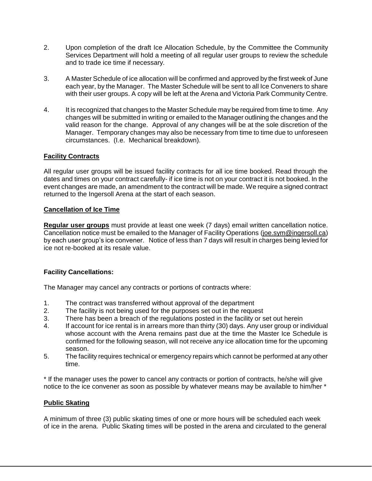- 2. Upon completion of the draft Ice Allocation Schedule, by the Committee the Community Services Department will hold a meeting of all regular user groups to review the schedule and to trade ice time if necessary.
- 3. A Master Schedule of ice allocation will be confirmed and approved by the first week of June each year, by the Manager. The Master Schedule will be sent to all Ice Conveners to share with their user groups. A copy will be left at the Arena and Victoria Park Community Centre.
- 4. It is recognized that changes to the Master Schedule may be required from time to time. Any changes will be submitted in writing or emailed to the Manager outlining the changes and the valid reason for the change. Approval of any changes will be at the sole discretion of the Manager. Temporary changes may also be necessary from time to time due to unforeseen circumstances. (I.e. Mechanical breakdown).

#### **Facility Contracts**

All regular user groups will be issued facility contracts for all ice time booked. Read through the dates and times on your contract carefully- if ice time is not on your contract it is not booked. In the event changes are made, an amendment to the contract will be made. We require a signed contract returned to the Ingersoll Arena at the start of each season.

#### **Cancellation of Ice Time**

**Regular user groups** must provide at least one week (7 days) email written cancellation notice. Cancellation notice must be emailed to the Manager of Facility Operations (joe.sym@ingersoll.ca) by each user group's ice convener. Notice of less than 7 days will result in charges being levied for ice not re-booked at its resale value.

## **Facility Cancellations:**

The Manager may cancel any contracts or portions of contracts where:

- 1. The contract was transferred without approval of the department
- 2. The facility is not being used for the purposes set out in the request
- 3. There has been a breach of the regulations posted in the facility or set out herein
- 4. If account for ice rental is in arrears more than thirty (30) days. Any user group or individual whose account with the Arena remains past due at the time the Master Ice Schedule is confirmed for the following season, will not receive any ice allocation time for the upcoming season.
- 5. The facility requires technical or emergency repairs which cannot be performed at any other time.

\* If the manager uses the power to cancel any contracts or portion of contracts, he/she will give notice to the ice convener as soon as possible by whatever means may be available to him/her \*

## **Public Skating**

A minimum of three (3) public skating times of one or more hours will be scheduled each week of ice in the arena. Public Skating times will be posted in the arena and circulated to the general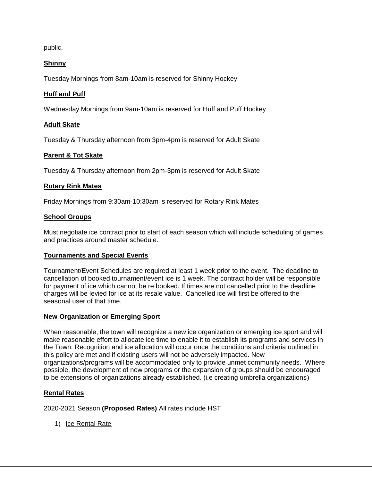public.

# **Shinny**

Tuesday Mornings from 8am-10am is reserved for Shinny Hockey

# **Huff and Puff**

Wednesday Mornings from 9am-10am is reserved for Huff and Puff Hockey

# **Adult Skate**

Tuesday & Thursday afternoon from 3pm-4pm is reserved for Adult Skate

# **Parent & Tot Skate**

Tuesday & Thursday afternoon from 2pm-3pm is reserved for Adult Skate

## **Rotary Rink Mates**

Friday Mornings from 9:30am-10:30am is reserved for Rotary Rink Mates

## **School Groups**

Must negotiate ice contract prior to start of each season which will include scheduling of games and practices around master schedule.

## **Tournaments and Special Events**

Tournament/Event Schedules are required at least 1 week prior to the event. The deadline to cancellation of booked tournament/event ice is 1 week. The contract holder will be responsible for payment of ice which cannot be re booked. If times are not cancelled prior to the deadline charges will be levied for ice at its resale value. Cancelled ice will first be offered to the seasonal user of that time.

## **New Organization or Emerging Sport**

When reasonable, the town will recognize a new ice organization or emerging ice sport and will make reasonable effort to allocate ice time to enable it to establish its programs and services in the Town. Recognition and ice allocation will occur once the conditions and criteria outlined in this policy are met and if existing users will not be adversely impacted. New organizations/programs will be accommodated only to provide unmet community needs. Where possible, the development of new programs or the expansion of groups should be encouraged to be extensions of organizations already established. (i.e creating umbrella organizations)

## **Rental Rates**

2020-2021 Season **(Proposed Rates)** All rates include HST

1) Ice Rental Rate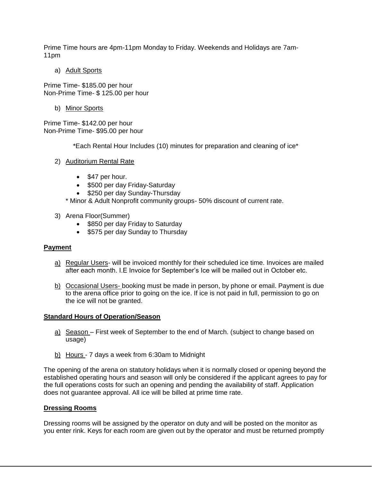Prime Time hours are 4pm-11pm Monday to Friday. Weekends and Holidays are 7am-11pm

a) Adult Sports

Prime Time- \$185.00 per hour Non-Prime Time- \$ 125.00 per hour

b) Minor Sports

Prime Time- \$142.00 per hour Non-Prime Time- \$95.00 per hour

\*Each Rental Hour Includes (10) minutes for preparation and cleaning of ice\*

- 2) Auditorium Rental Rate
	- \$47 per hour.
	- \$500 per day Friday-Saturday
	- \$250 per day Sunday-Thursday

\* Minor & Adult Nonprofit community groups- 50% discount of current rate.

- 3) Arena Floor(Summer)
	- \$850 per day Friday to Saturday
	- \$575 per day Sunday to Thursday

## **Payment**

- a) Regular Users- will be invoiced monthly for their scheduled ice time. Invoices are mailed after each month. I.E Invoice for September's Ice will be mailed out in October etc.
- b) Occasional Users- booking must be made in person, by phone or email. Payment is due to the arena office prior to going on the ice. If ice is not paid in full, permission to go on the ice will not be granted.

#### **Standard Hours of Operation/Season**

- a) Season First week of September to the end of March. (subject to change based on usage)
- b) Hours 7 days a week from 6:30am to Midnight

The opening of the arena on statutory holidays when it is normally closed or opening beyond the established operating hours and season will only be considered if the applicant agrees to pay for the full operations costs for such an opening and pending the availability of staff. Application does not guarantee approval. All ice will be billed at prime time rate.

#### **Dressing Rooms**

Dressing rooms will be assigned by the operator on duty and will be posted on the monitor as you enter rink. Keys for each room are given out by the operator and must be returned promptly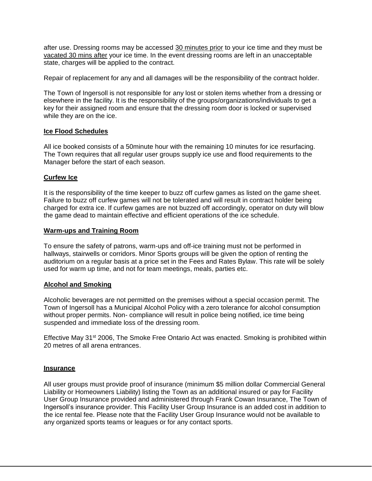after use. Dressing rooms may be accessed 30 minutes prior to your ice time and they must be vacated 30 mins after your ice time. In the event dressing rooms are left in an unacceptable state, charges will be applied to the contract.

Repair of replacement for any and all damages will be the responsibility of the contract holder.

The Town of Ingersoll is not responsible for any lost or stolen items whether from a dressing or elsewhere in the facility. It is the responsibility of the groups/organizations/individuals to get a key for their assigned room and ensure that the dressing room door is locked or supervised while they are on the ice.

#### **Ice Flood Schedules**

All ice booked consists of a 50minute hour with the remaining 10 minutes for ice resurfacing. The Town requires that all regular user groups supply ice use and flood requirements to the Manager before the start of each season.

## **Curfew Ice**

It is the responsibility of the time keeper to buzz off curfew games as listed on the game sheet. Failure to buzz off curfew games will not be tolerated and will result in contract holder being charged for extra ice. If curfew games are not buzzed off accordingly, operator on duty will blow the game dead to maintain effective and efficient operations of the ice schedule.

#### **Warm-ups and Training Room**

To ensure the safety of patrons, warm-ups and off-ice training must not be performed in hallways, stairwells or corridors. Minor Sports groups will be given the option of renting the auditorium on a regular basis at a price set in the Fees and Rates Bylaw. This rate will be solely used for warm up time, and not for team meetings, meals, parties etc.

#### **Alcohol and Smoking**

Alcoholic beverages are not permitted on the premises without a special occasion permit. The Town of Ingersoll has a Municipal Alcohol Policy with a zero tolerance for alcohol consumption without proper permits. Non- compliance will result in police being notified, ice time being suspended and immediate loss of the dressing room.

Effective May 31<sup>st</sup> 2006, The Smoke Free Ontario Act was enacted. Smoking is prohibited within 20 metres of all arena entrances.

#### **Insurance**

All user groups must provide proof of insurance (minimum \$5 million dollar Commercial General Liability or Homeowners Liability) listing the Town as an additional insured or pay for Facility User Group Insurance provided and administered through Frank Cowan Insurance, The Town of Ingersoll's insurance provider. This Facility User Group Insurance is an added cost in addition to the ice rental fee. Please note that the Facility User Group Insurance would not be available to any organized sports teams or leagues or for any contact sports.